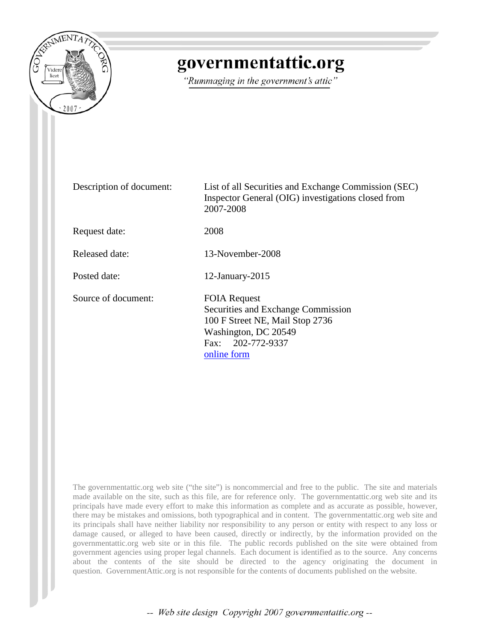

## governmentattic.org

"Rummaging in the government's attic"

Description of document: List of all Securities and Exchange Commission (SEC) Inspector General (OIG) investigations closed from 2007-2008 Request date: 2008 Released date: 13-November-2008 Posted date: 12-January-2015 Source of document: FOIA Request Securities and Exchange Commission 100 F Street NE, Mail Stop 2736 Washington, DC 20549 Fax: 202-772-9337 [online form](https://tts.sec.gov/cgi-bin/request_public_docs)

The governmentattic.org web site ("the site") is noncommercial and free to the public. The site and materials made available on the site, such as this file, are for reference only. The governmentattic.org web site and its principals have made every effort to make this information as complete and as accurate as possible, however, there may be mistakes and omissions, both typographical and in content. The governmentattic.org web site and its principals shall have neither liability nor responsibility to any person or entity with respect to any loss or damage caused, or alleged to have been caused, directly or indirectly, by the information provided on the governmentattic.org web site or in this file. The public records published on the site were obtained from government agencies using proper legal channels. Each document is identified as to the source. Any concerns about the contents of the site should be directed to the agency originating the document in question. GovernmentAttic.org is not responsible for the contents of documents published on the website.

-- Web site design Copyright 2007 governmentattic.org --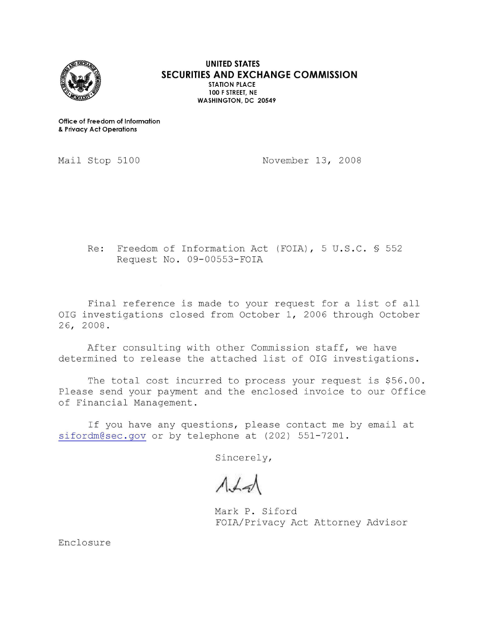

**UNITED STATES SECURITIES AND EXCHANGE COMMISSION STATION PLACE 100 F STREET, NE WASHINGTON, DC 20549** 

**Office of Freedom of Information**  & **Privacy Act Operations** 

Mail Stop 5100

November 13, 2008

Re: Freedom of Information Act (FOIA), 5 U.S.C. § 552 Request No. 09-00553-FOIA

Final reference is made to your request for a list of all OIG investigations closed from October 1, 2006 through October 26, 2008.

After consulting with other Commission staff, we have determined to release the attached list of OIG investigations.

The total cost incurred to process your request is \$56.00. Please send your payment and the enclosed invoice to our Office of Financial Management.

If you have any questions, please contact me by email at sifordm@sec . gov or by telephone at (202) 551-7201.

Sincerely,

Mark P. Siford FOIA/Privacy Act Attorney Advisor

Enclosure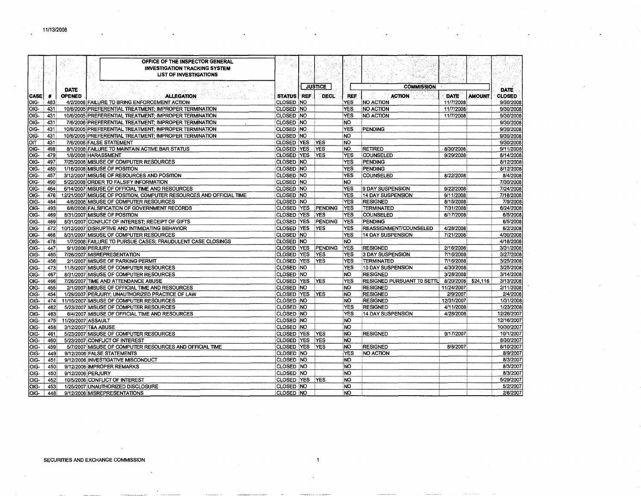$\bullet$ 

|               |            |                     | OFFICE OF THE INSPECTOR GENERAL<br><b>INVESTIGATION TRACKING SYSTEM</b><br><b>LIST OF INVESTIGATIONS</b> |                          |                          |                   |                                               |             |               |                        |
|---------------|------------|---------------------|----------------------------------------------------------------------------------------------------------|--------------------------|--------------------------|-------------------|-----------------------------------------------|-------------|---------------|------------------------|
|               |            | DATE                |                                                                                                          |                          | JUSTICE                  |                   | <b>COMMISSION</b>                             |             |               | <b>DATE</b>            |
| <b>CASE</b>   | -4         | <b>OPENED</b>       | <b>ALLEGATION</b>                                                                                        | STATUS REF               | <b>DECL</b>              | <b>REF</b>        | <b>ACTION</b>                                 | <b>DATE</b> | <b>AMOUNT</b> | <b>CLOSED</b>          |
| loıg-         | 483        |                     | 4/2/2008 FAILURE TO BRING ENFORCEMENT ACTION                                                             | CLOSED NO                |                          | YES.              | NO ACTION                                     | 11/7/2008   |               | 9/30/2008              |
| loıg-         | 431        |                     | 10/6/2005 PREFERENTIAL TREATMENT; IMPROPER TERMINATION                                                   | CLOSED NO                |                          | YES               | NO ACTION                                     | 11/7/2008   |               | 9/30/2008              |
| loıg-         | 431        |                     | 10/6/2005 PREFERENTIAL TREATMENT; IMPROPER TERMINATION                                                   | CLOSED NO                |                          | <b>YES</b>        | NO ACTION                                     | 11/7/2008   |               | 9/30/2008              |
| loıg-         | 431        |                     | 7/6/2006 PREFERENTIAL TREATMENT; IMPROPER TERMINATION                                                    | CLOSED NO                |                          | <b>NO</b>         |                                               |             |               | 9/30/2008              |
| OIG-          | 431        |                     | 10/6/2005 PREFERENTIAL TREATMENT; IMPROPER TERMINATION                                                   | CLOSED NO                |                          | <b>YES</b>        | PENDING                                       |             |               | 9/30/2008              |
| OIG-          | 431        |                     | 10/6/2005 PREFERENTIAL TREATMENT; IMPROPER TERMINATION                                                   | CLOSED NO                |                          | <b>NO</b>         |                                               |             |               | 9/30/2008              |
| OIT           | 431        |                     | 7/6/2006 FALSE STATEMENT                                                                                 | <b>CLOSED YES</b>        | <b>YES</b>               | NO.               |                                               |             |               | 9/30/2008              |
| loю-          | 498        |                     | 8/1/2008 FAILURE TO MAINTAIN ACTIVE BAR STATUS                                                           | <b>CLOSED YES</b>        | YES                      | NO.               | RETIRED                                       | 8/30/2008   |               | 9/11/2008              |
| OIG-          | 479        |                     | 1/8/2008 HARASSMENT                                                                                      | <b>CLOSED YES</b>        | YES.                     | <b>YES</b>        | COUNSELED                                     | 9/29/2008   |               | 8/14/2008              |
| OIG-          | 497        |                     | 7/25/2008 MISUSE OF COMPUTER RESOURCES                                                                   | CLOSED NO                |                          | <b>YES</b>        | PENDING                                       |             |               | 8/12/2008              |
| OIG-          | 480        |                     | 1/16/2008 MISUSE OF POSITION                                                                             | CLOSED NO                |                          | <b>YES</b>        | PENDING                                       |             |               | 8/12/2008              |
| loig-         | 457        |                     | 3/12/2007 MISUSE OF RESOURCES AND POSITION                                                               | CLOSED NO                |                          | <b>YES</b>        | COUNSELED                                     | 8/22/2008   |               | 8/4/2008               |
| OIG-          | 490        |                     | 5/22/2008 ORDER TO FALSIFY INFORMATION                                                                   | CLOSED NO                |                          | <b>NO</b>         |                                               |             |               | 7/30/2008              |
| loıg-         | 464        |                     | 6/14/2007 MISUSE OF OFFICIAL TIME AND RESOURCES                                                          | CLOSED NO                |                          | <b>YES</b>        | 9 DAY SUSPENSION                              | 9/22/2008   |               | 7/24/2008              |
| OIG-          | 476        |                     | 12/21/2007 MISUSE OF POSITION, COMPUTER RESOURCES AND OFFICIAL TIME                                      | CLOSED NO                |                          | <b>YES</b>        | 14 DAY SUSPENSION                             | 9/11/2008   |               | 7/18/2008              |
| OIG-          | 484        |                     | 4/8/2008 MISUSE OF COMPUTER RESOURCES                                                                    | CLOSED NO                |                          | <b>YES</b>        | <b>RESIGNED</b>                               | 8/15/2008   |               | 7/9/2008               |
| OIG-          | 493        |                     | 6/6/2008 FALSIFICATION OF GOVERNMENT RECORDS                                                             | <b>CLOSED YES</b>        | PENDING                  | <b>YES</b>        | <b>TERMINATED</b>                             | 7/31/2008   |               | 6/24/2008              |
| OIG-          | 469        |                     | 8/31/2007 MISUSE OF POSITION                                                                             | <b>CLOSED YES</b>        | <b>YES</b>               | <b>YES</b>        | <b>COUNSELED</b>                              | 6/17/2008   |               | 6/5/2008               |
| OIG-          | 469        |                     | 8/31/2007 CONFLICT OF INTEREST; RECEIPT OF GIFTS                                                         | <b>CLOSED YES</b>        | PENDING                  | <b>YES</b>        | <b>PENDING</b>                                |             |               | 6/5/2008               |
| OIG-          | 472        |                     | 10/12/2007 DISRUPTIVE AND INTIMIDATING BEHAVIOR                                                          | CLOSED YES               | <b>YES</b>               | <b>YES</b>        | REASSIGNMENT/COUNSELED                        | 4/28/2008   |               | 6/2/2008               |
| OIG-          | 468        |                     | 8/31/2007 MISUSE OF COMPUTER RESOURCES                                                                   | <b>CLOSED NO</b>         |                          | <b>YES</b>        | 14 DAY SUSPENSION                             | 7/21/2008   |               | 4/30/2008              |
| OIG-          | 478        |                     | 1/7/2008 FAILURE TO PURSUE CASES; FRAUDULENT CASE CLOSINGS                                               | CLOSED NO                |                          | NO.               |                                               |             |               | 4/18/2008              |
| OIG-          | 447        | 9/1/2006 PERJURY    |                                                                                                          | <b>CLOSED YES</b>        | PENDING                  | YES               | <b>RESIGNED</b>                               | 2/16/2008   |               | 3/31/2008              |
| OIG-          | 465        |                     | 7/26/2007 MISREPRESENTATION                                                                              | <b>CLOSED YES</b>        | YES                      | <b>YES</b>        | 3 DAY SUSPENSION                              | 7/16/2008   |               | 3/27/2008              |
| OIG-          | 456        |                     | 2/1/2007 MISUSE OF PARKING PERMIT                                                                        | <b>CLOSED YES</b>        | <b>YES</b>               | <b>YES</b>        | TERMINATED                                    | 7/16/2008   |               | 3/25/2008              |
| OIG-          | 473        |                     | 11/5/2007 MISUSE OF COMPUTER RESOURCES                                                                   | CLOSED NO                |                          | <b>YES</b>        | 10 DAY SUSPENSION                             | 4/30/2008   |               | 3/25/2008              |
| OIG-          | 467        |                     | 8/31/2007 MISUSE OF COMPUTER RESOURCES                                                                   | CLOSED NO                |                          | NO.               | <b>RESIGNED</b>                               | 3/28/2008   |               | 3/14/2008              |
| OIG-          | 466        |                     | 7/26/2007 TIME AND ATTENDANCE ABUSE                                                                      | CLOSED YES               | YES                      | <b>YES</b>        | RESIGNED PURSUANT TO SETTL 8/20/2008 \$24,116 |             |               | 3/13/2008              |
| OIG-          | 455        |                     | 2/1/2007 MISUSE OF OFFICIAL TIME AND RESOURCES                                                           | CLOSED NO                |                          | NO.               | <b>RESIGNED</b>                               | 11/24/2007  |               | 2/11/2008              |
| OIG-          | 454        |                     | 1/29/2007 PERJURY; UNAUTHORIZED PRACTICE OF LAW                                                          | <b>CLOSED YES</b>        | <b>YES</b>               | İNО               | RESIGNED                                      | 2/9/2007    |               | 2/4/2008               |
| OIG-          | 474        |                     | 11/15/2007 MISUSE OF COMPUTER RESOURCES                                                                  | CLOSED NO                |                          | NO.               | <b>RESIGNED</b>                               | 12/31/2007  |               | 1/31/2008              |
| loıg-         | 462        |                     | 5/23/2007 MISUSE OF COMPUTER RESOURCES                                                                   | CLOSED NO                |                          | <b>YES</b>        | <b>RESIGNED</b>                               | 4/11/2008   |               | 1/23/2008              |
| OIG-          | 463        |                     | 6/4/2007 MISUSE OF OFFICIAL TIME AND RESOURCES                                                           | CLOSED NO                |                          | <b>YES</b>        | 14 DAY SUSPENSION                             | 4/28/2008   |               | 12/26/2007             |
| OIG-          | 475        | 11/20/2007 ASSAULT  |                                                                                                          | CLOSED NO                |                          | NO.               |                                               |             |               | 12/16/2007             |
| OIG-          | 458        | 3/12/2007 T&A ABUSE |                                                                                                          | CLOSED NO                |                          | NO                |                                               |             |               | 10/30/2007             |
| OIG-          | 461        |                     | 5/23/2007 MISUSE OF COMPUTER RESOURCES                                                                   | <b>CLOSED YES</b>        | <b>YES</b><br><b>YES</b> | NO.<br><b>NO</b>  | <b>RESIGNED</b>                               | 9/17/2007   |               | 10/1/2007<br>8/30/2007 |
| OIG-          | 460        |                     | 5/23/2007 CONFLICT OF INTEREST                                                                           | CLOSED YES               |                          |                   |                                               |             |               |                        |
| OIG-          | 459        |                     | 5/7/2007 MISUSE OF COMPUTER RESOURCES AND OFFICIAL TIME                                                  | <b>CLOSED YES</b>        | YES                      | ino               | <b>RESIGNED</b>                               | 8/8/2007    |               | 8/10/2007<br>8/9/2007  |
| OIG-<br>lOIG- | 449<br>451 |                     | 9/12/2006 FALSE STATEMENTS<br>9/12/2006 INVESTIGATIVE MISCONDUCT                                         | CLOSED NO<br>CLOSED NO   |                          | <b>YES</b><br>NO. | NO ACTION                                     |             |               | 8/3/2007               |
|               |            |                     |                                                                                                          | CLOSED NO                |                          | INO.              |                                               |             |               | 8/3/2007               |
| lOIG-         | 450        |                     | 9/12/2006 IMPROPER REMARKS                                                                               |                          |                          |                   |                                               |             |               | 8/3/2007               |
| OIG-          | 450        | 9/12/2006 PERJURY   |                                                                                                          | CLOSED NO                |                          | NO.               |                                               |             |               | 5/29/2007              |
| lOIG-         | 452        |                     | 10/5/2006 CONFLICT OF INTEREST                                                                           | CLOSED YES<br>CLOSED INO | YES                      | <b>NO</b><br>NO   |                                               |             |               | 5/2/2007               |
| OIG-          | 453        |                     | 1/25/2007 UNAUTHORIZED DISCLOSURE                                                                        |                          |                          | NO.               |                                               |             |               | 2/6/2007               |
| OIG-          | 448        |                     | 9/12/2006 MISREPRESENTATIONS                                                                             | CLOSED NO                |                          |                   |                                               |             |               |                        |

 $\mathbf{1}$ 

 $\bar{\mathbf{v}}$